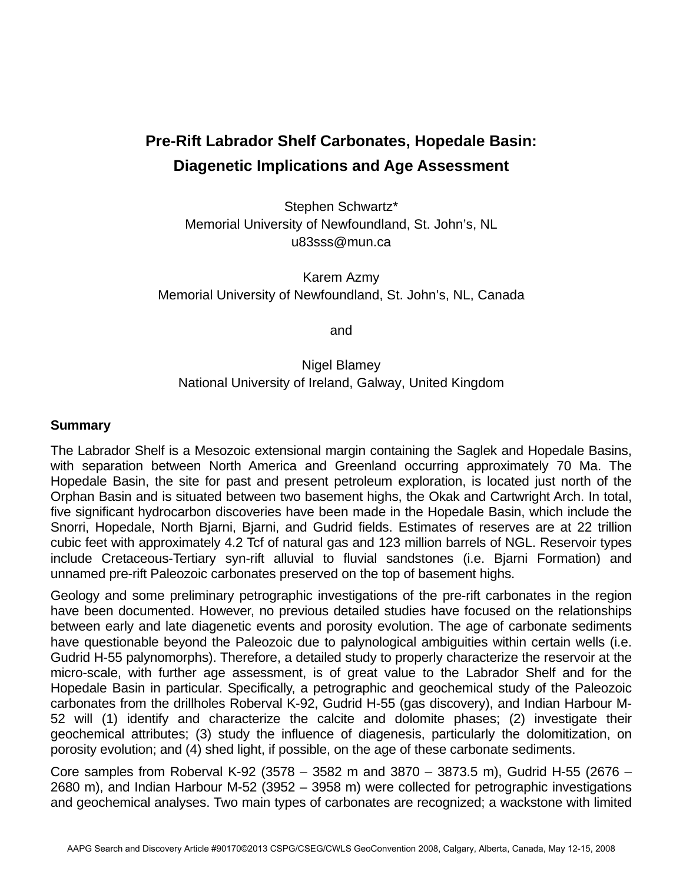## **Pre-Rift Labrador Shelf Carbonates, Hopedale Basin: Diagenetic Implications and Age Assessment**

Stephen Schwartz\* Memorial University of Newfoundland, St. John's, NL u83sss@mun.ca

Karem Azmy Memorial University of Newfoundland, St. John's, NL, Canada

and

## Nigel Blamey National University of Ireland, Galway, United Kingdom

## **Summary**

The Labrador Shelf is a Mesozoic extensional margin containing the Saglek and Hopedale Basins, with separation between North America and Greenland occurring approximately 70 Ma. The Hopedale Basin, the site for past and present petroleum exploration, is located just north of the Orphan Basin and is situated between two basement highs, the Okak and Cartwright Arch. In total, five significant hydrocarbon discoveries have been made in the Hopedale Basin, which include the Snorri, Hopedale, North Bjarni, Bjarni, and Gudrid fields. Estimates of reserves are at 22 trillion cubic feet with approximately 4.2 Tcf of natural gas and 123 million barrels of NGL. Reservoir types include Cretaceous-Tertiary syn-rift alluvial to fluvial sandstones (i.e. Bjarni Formation) and unnamed pre-rift Paleozoic carbonates preserved on the top of basement highs.

Geology and some preliminary petrographic investigations of the pre-rift carbonates in the region have been documented. However, no previous detailed studies have focused on the relationships between early and late diagenetic events and porosity evolution. The age of carbonate sediments have questionable beyond the Paleozoic due to palynological ambiguities within certain wells (i.e. Gudrid H-55 palynomorphs). Therefore, a detailed study to properly characterize the reservoir at the micro-scale, with further age assessment, is of great value to the Labrador Shelf and for the Hopedale Basin in particular. Specifically, a petrographic and geochemical study of the Paleozoic carbonates from the drillholes Roberval K-92, Gudrid H-55 (gas discovery), and Indian Harbour M-52 will (1) identify and characterize the calcite and dolomite phases; (2) investigate their geochemical attributes; (3) study the influence of diagenesis, particularly the dolomitization, on porosity evolution; and (4) shed light, if possible, on the age of these carbonate sediments.

Core samples from Roberval K-92 (3578 – 3582 m and 3870 – 3873.5 m), Gudrid H-55 (2676 – 2680 m), and Indian Harbour M-52 (3952 – 3958 m) were collected for petrographic investigations and geochemical analyses. Two main types of carbonates are recognized; a wackstone with limited